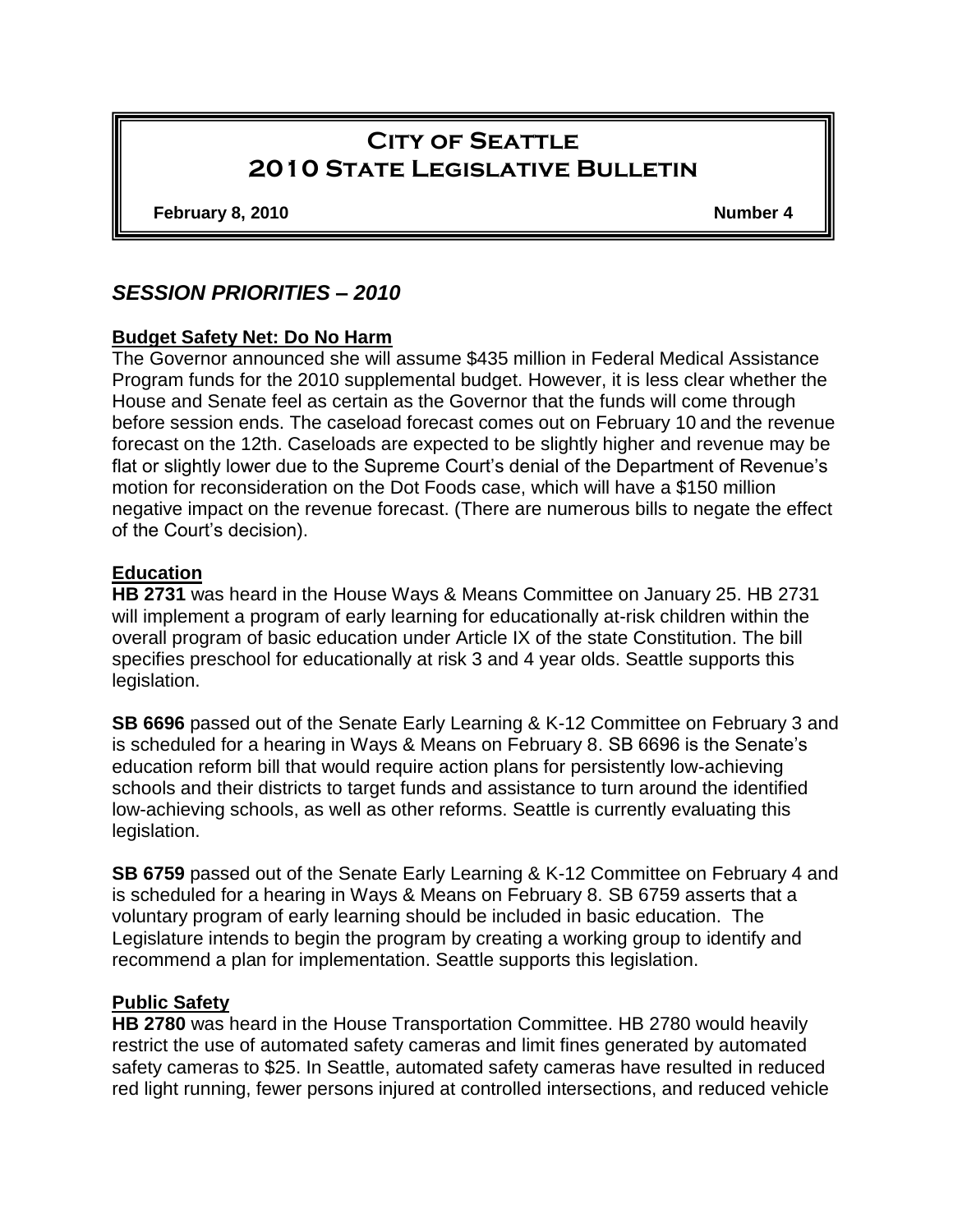# **City of Seattle 2010 State Legislative Bulletin**

**February 8, 2010 Number 4**

# *SESSION PRIORITIES – 2010*

#### **Budget Safety Net: Do No Harm**

The Governor announced she will assume \$435 million in Federal Medical Assistance Program funds for the 2010 supplemental budget. However, it is less clear whether the House and Senate feel as certain as the Governor that the funds will come through before session ends. The caseload forecast comes out on February 10 and the revenue forecast on the 12th. Caseloads are expected to be slightly higher and revenue may be flat or slightly lower due to the Supreme Court's denial of the Department of Revenue's motion for reconsideration on the Dot Foods case, which will have a \$150 million negative impact on the revenue forecast. (There are numerous bills to negate the effect of the Court's decision).

#### **Education**

**HB 2731** was heard in the House Ways & Means Committee on January 25. HB 2731 will implement a program of early learning for educationally at-risk children within the overall program of basic education under Article IX of the state Constitution. The bill specifies preschool for educationally at risk 3 and 4 year olds. Seattle supports this legislation.

**SB 6696** passed out of the Senate Early Learning & K-12 Committee on February 3 and is scheduled for a hearing in Ways & Means on February 8. SB 6696 is the Senate's education reform bill that would require action plans for persistently low-achieving schools and their districts to target funds and assistance to turn around the identified low-achieving schools, as well as other reforms. Seattle is currently evaluating this legislation.

**SB 6759** passed out of the Senate Early Learning & K-12 Committee on February 4 and is scheduled for a hearing in Ways & Means on February 8. SB 6759 asserts that a voluntary program of early learning should be included in basic education. The Legislature intends to begin the program by creating a working group to identify and recommend a plan for implementation. Seattle supports this legislation.

#### **Public Safety**

**HB 2780** was heard in the House Transportation Committee. HB 2780 would heavily restrict the use of automated safety cameras and limit fines generated by automated safety cameras to \$25. In Seattle, automated safety cameras have resulted in reduced red light running, fewer persons injured at controlled intersections, and reduced vehicle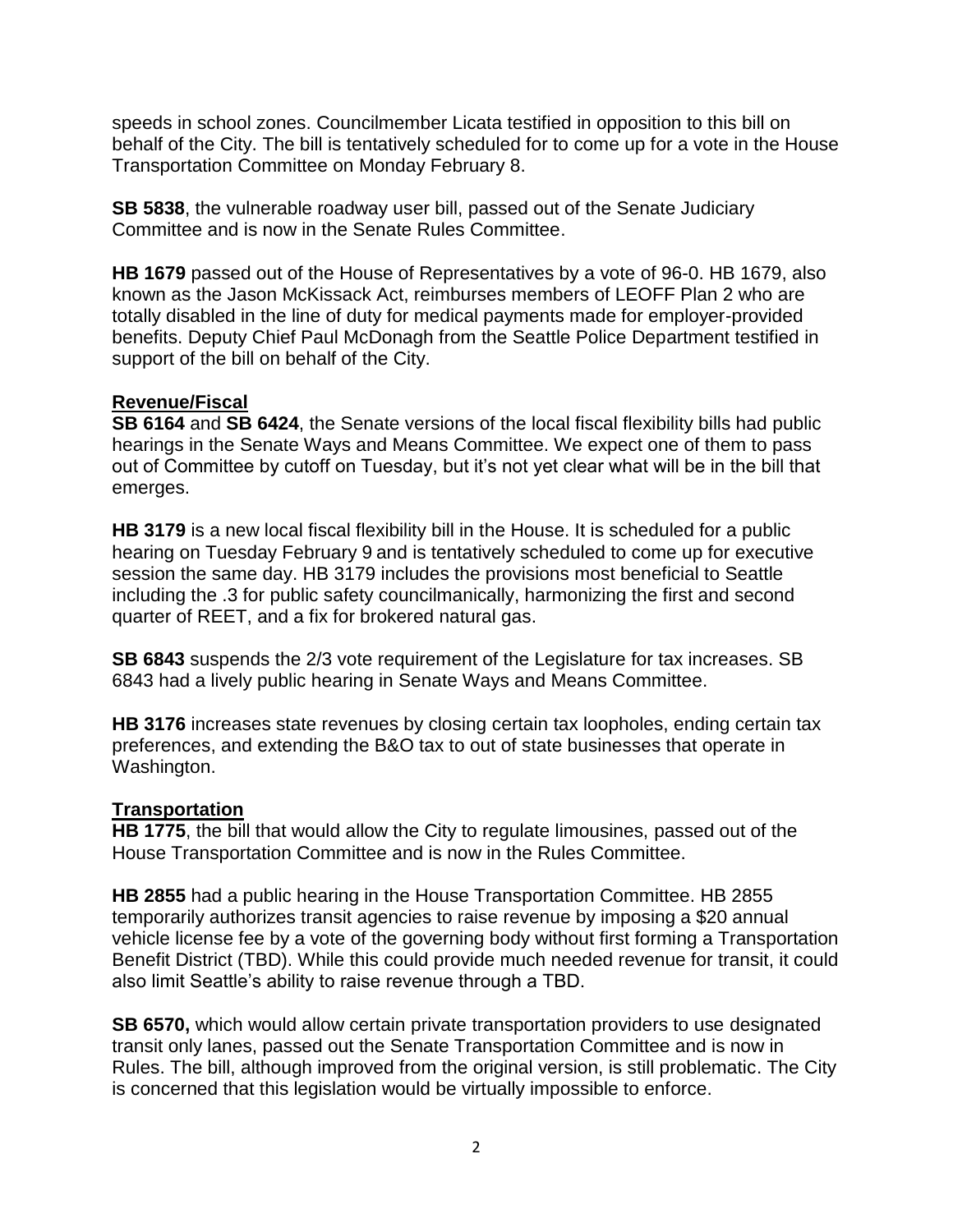speeds in school zones. Councilmember Licata testified in opposition to this bill on behalf of the City. The bill is tentatively scheduled for to come up for a vote in the House Transportation Committee on Monday February 8.

**SB 5838**, the vulnerable roadway user bill, passed out of the Senate Judiciary Committee and is now in the Senate Rules Committee.

**HB 1679** passed out of the House of Representatives by a vote of 96-0. HB 1679, also known as the Jason McKissack Act, reimburses members of LEOFF Plan 2 who are totally disabled in the line of duty for medical payments made for employer-provided benefits. Deputy Chief Paul McDonagh from the Seattle Police Department testified in support of the bill on behalf of the City.

## **Revenue/Fiscal**

**SB 6164** and **SB 6424**, the Senate versions of the local fiscal flexibility bills had public hearings in the Senate Ways and Means Committee. We expect one of them to pass out of Committee by cutoff on Tuesday, but it's not yet clear what will be in the bill that emerges.

**HB 3179** is a new local fiscal flexibility bill in the House. It is scheduled for a public hearing on Tuesday February 9 and is tentatively scheduled to come up for executive session the same day. HB 3179 includes the provisions most beneficial to Seattle including the .3 for public safety councilmanically, harmonizing the first and second quarter of REET, and a fix for brokered natural gas.

**SB 6843** suspends the 2/3 vote requirement of the Legislature for tax increases. SB 6843 had a lively public hearing in Senate Ways and Means Committee.

**HB 3176** increases state revenues by closing certain tax loopholes, ending certain tax preferences, and extending the B&O tax to out of state businesses that operate in Washington.

#### **Transportation**

**HB 1775**, the bill that would allow the City to regulate limousines, passed out of the House Transportation Committee and is now in the Rules Committee.

**HB 2855** had a public hearing in the House Transportation Committee. HB 2855 temporarily authorizes transit agencies to raise revenue by imposing a \$20 annual vehicle license fee by a vote of the governing body without first forming a Transportation Benefit District (TBD). While this could provide much needed revenue for transit, it could also limit Seattle's ability to raise revenue through a TBD.

**SB 6570,** which would allow certain private transportation providers to use designated transit only lanes, passed out the Senate Transportation Committee and is now in Rules. The bill, although improved from the original version, is still problematic. The City is concerned that this legislation would be virtually impossible to enforce.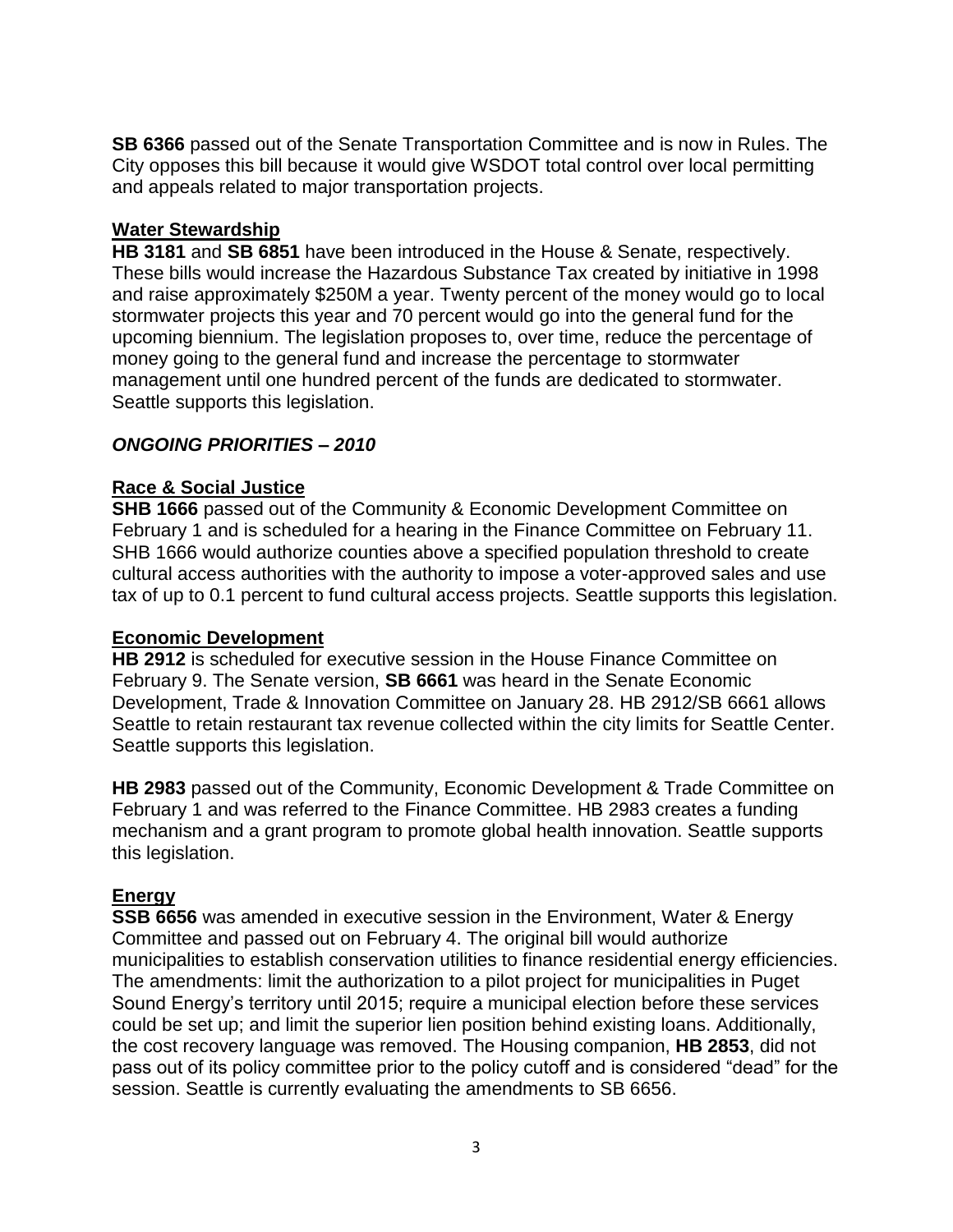**SB 6366** passed out of the Senate Transportation Committee and is now in Rules. The City opposes this bill because it would give WSDOT total control over local permitting and appeals related to major transportation projects.

# **Water Stewardship**

**HB 3181** and **SB 6851** have been introduced in the House & Senate, respectively. These bills would increase the Hazardous Substance Tax created by initiative in 1998 and raise approximately \$250M a year. Twenty percent of the money would go to local stormwater projects this year and 70 percent would go into the general fund for the upcoming biennium. The legislation proposes to, over time, reduce the percentage of money going to the general fund and increase the percentage to stormwater management until one hundred percent of the funds are dedicated to stormwater. Seattle supports this legislation.

## *ONGOING PRIORITIES – 2010*

## **Race & Social Justice**

**SHB 1666** passed out of the Community & Economic Development Committee on February 1 and is scheduled for a hearing in the Finance Committee on February 11. SHB 1666 would authorize counties above a specified population threshold to create cultural access authorities with the authority to impose a voter-approved sales and use tax of up to 0.1 percent to fund cultural access projects. Seattle supports this legislation.

#### **Economic Development**

**HB 2912** is scheduled for executive session in the House Finance Committee on February 9. The Senate version, **SB 6661** was heard in the Senate Economic Development, Trade & Innovation Committee on January 28. HB 2912/SB 6661 allows Seattle to retain restaurant tax revenue collected within the city limits for Seattle Center. Seattle supports this legislation.

**HB 2983** passed out of the Community, Economic Development & Trade Committee on February 1 and was referred to the Finance Committee. HB 2983 creates a funding mechanism and a grant program to promote global health innovation. Seattle supports this legislation.

# **Energy**

**SSB 6656** was amended in executive session in the Environment, Water & Energy Committee and passed out on February 4. The original bill would authorize municipalities to establish conservation utilities to finance residential energy efficiencies. The amendments: limit the authorization to a pilot project for municipalities in Puget Sound Energy's territory until 2015; require a municipal election before these services could be set up; and limit the superior lien position behind existing loans. Additionally, the cost recovery language was removed. The Housing companion, **HB 2853**, did not pass out of its policy committee prior to the policy cutoff and is considered "dead" for the session. Seattle is currently evaluating the amendments to SB 6656.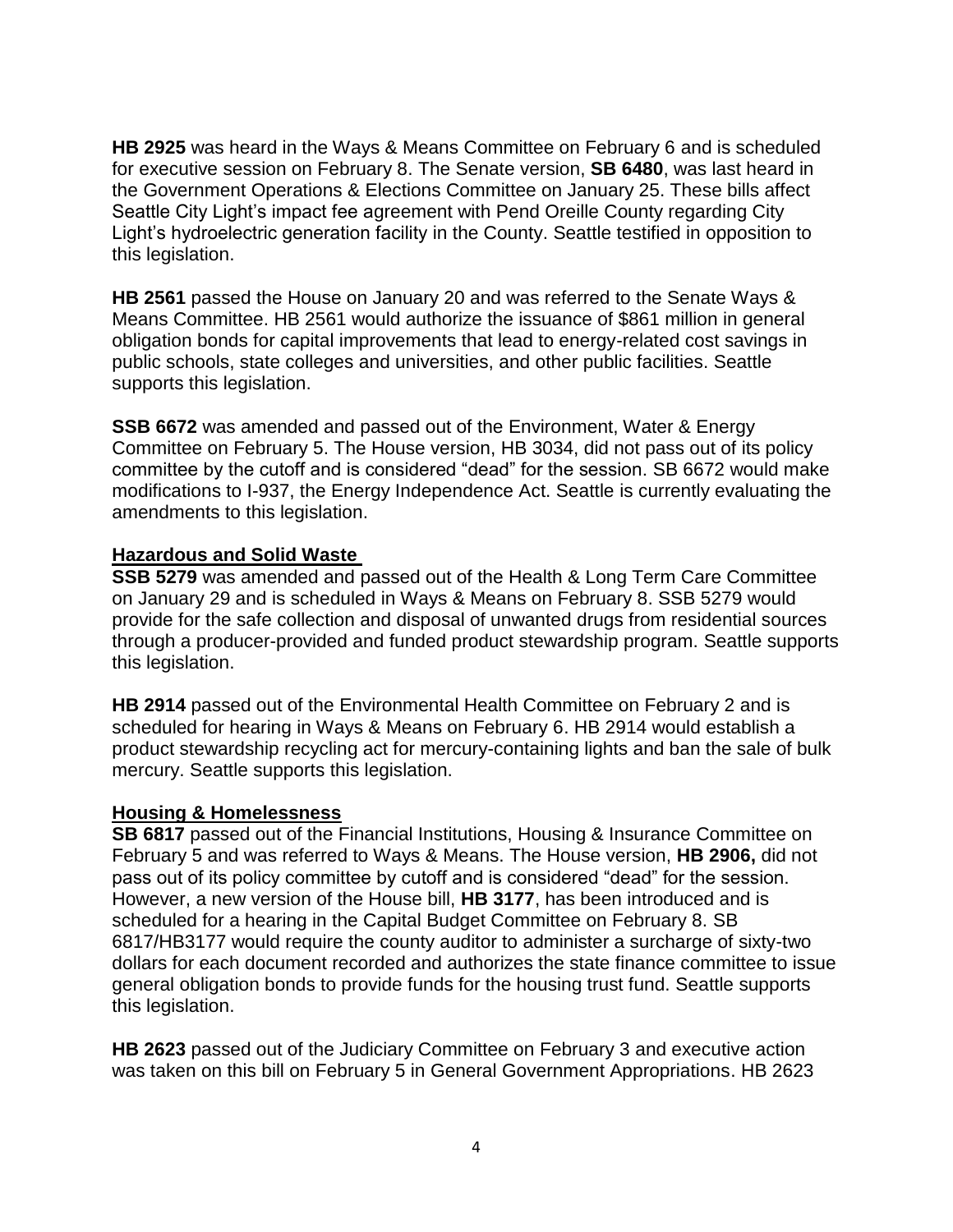**HB 2925** was heard in the Ways & Means Committee on February 6 and is scheduled for executive session on February 8. The Senate version, **SB 6480**, was last heard in the Government Operations & Elections Committee on January 25. These bills affect Seattle City Light's impact fee agreement with Pend Oreille County regarding City Light's hydroelectric generation facility in the County. Seattle testified in opposition to this legislation.

**HB 2561** passed the House on January 20 and was referred to the Senate Ways & Means Committee. HB 2561 would authorize the issuance of \$861 million in general obligation bonds for capital improvements that lead to energy-related cost savings in public schools, state colleges and universities, and other public facilities. Seattle supports this legislation.

**SSB 6672** was amended and passed out of the Environment, Water & Energy Committee on February 5. The House version, HB 3034, did not pass out of its policy committee by the cutoff and is considered "dead" for the session. SB 6672 would make modifications to I-937, the Energy Independence Act. Seattle is currently evaluating the amendments to this legislation.

#### **Hazardous and Solid Waste**

**SSB 5279** was amended and passed out of the Health & Long Term Care Committee on January 29 and is scheduled in Ways & Means on February 8. SSB 5279 would provide for the safe collection and disposal of unwanted drugs from residential sources through a producer-provided and funded product stewardship program. Seattle supports this legislation.

**HB 2914** passed out of the Environmental Health Committee on February 2 and is scheduled for hearing in Ways & Means on February 6. HB 2914 would establish a product stewardship recycling act for mercury-containing lights and ban the sale of bulk mercury. Seattle supports this legislation.

# **Housing & Homelessness**

**SB 6817** passed out of the Financial Institutions, Housing & Insurance Committee on February 5 and was referred to Ways & Means. The House version, **HB 2906,** did not pass out of its policy committee by cutoff and is considered "dead" for the session. However, a new version of the House bill, **HB 3177**, has been introduced and is scheduled for a hearing in the Capital Budget Committee on February 8. SB 6817/HB3177 would require the county auditor to administer a surcharge of sixty-two dollars for each document recorded and authorizes the state finance committee to issue general obligation bonds to provide funds for the housing trust fund. Seattle supports this legislation.

**HB 2623** passed out of the Judiciary Committee on February 3 and executive action was taken on this bill on February 5 in General Government Appropriations. HB 2623